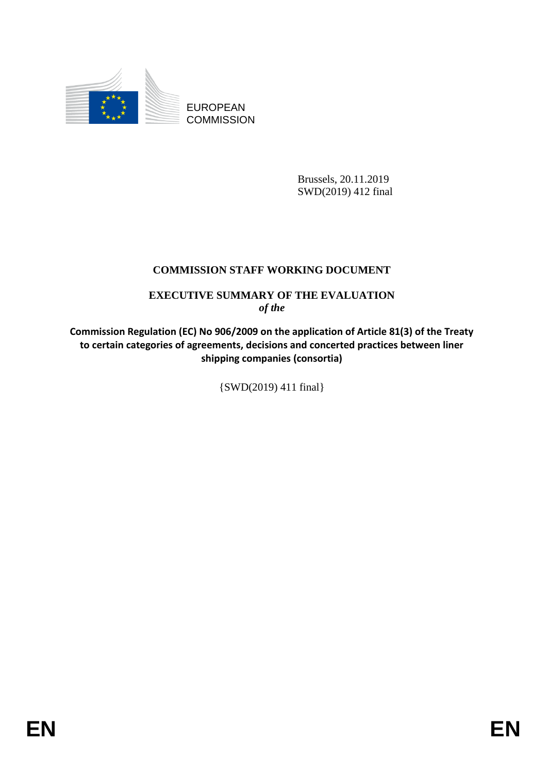

EUROPEAN **COMMISSION** 

> Brussels, 20.11.2019 SWD(2019) 412 final

# **COMMISSION STAFF WORKING DOCUMENT**

## **EXECUTIVE SUMMARY OF THE EVALUATION** *of the*

**Commission Regulation (EC) No 906/2009 on the application of Article 81(3) of the Treaty to certain categories of agreements, decisions and concerted practices between liner shipping companies (consortia)**

{SWD(2019) 411 final}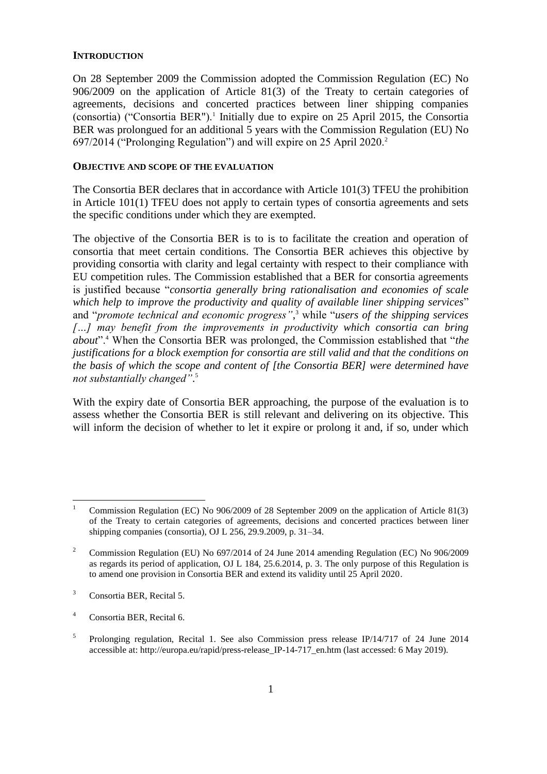#### **INTRODUCTION**

On 28 September 2009 the Commission adopted the Commission Regulation (EC) No 906/2009 on the application of Article 81(3) of the Treaty to certain categories of agreements, decisions and concerted practices between liner shipping companies (consortia) ("Consortia BER").<sup>1</sup> Initially due to expire on 25 April 2015, the Consortia BER was prolongued for an additional 5 years with the Commission Regulation (EU) No 697/2014 ("Prolonging Regulation") and will expire on 25 April 2020.<sup>2</sup>

#### **OBJECTIVE AND SCOPE OF THE EVALUATION**

The Consortia BER declares that in accordance with Article 101(3) TFEU the prohibition in Article 101(1) TFEU does not apply to certain types of consortia agreements and sets the specific conditions under which they are exempted.

The objective of the Consortia BER is to is to facilitate the creation and operation of consortia that meet certain conditions. The Consortia BER achieves this objective by providing consortia with clarity and legal certainty with respect to their compliance with EU competition rules. The Commission established that a BER for consortia agreements is justified because "*consortia generally bring rationalisation and economies of scale which help to improve the productivity and quality of available liner shipping services*" and "*promote technical and economic progress"*, <sup>3</sup> while "*users of the shipping services […] may benefit from the improvements in productivity which consortia can bring about*".<sup>4</sup> When the Consortia BER was prolonged, the Commission established that "*the justifications for a block exemption for consortia are still valid and that the conditions on the basis of which the scope and content of [the Consortia BER] were determined have not substantially changed"*. 5

With the expiry date of Consortia BER approaching, the purpose of the evaluation is to assess whether the Consortia BER is still relevant and delivering on its objective. This will inform the decision of whether to let it expire or prolong it and, if so, under which

 $\mathbf{1}$ <sup>1</sup> Commission Regulation (EC) No 906/2009 of 28 September 2009 on the application of Article 81(3) of the Treaty to certain categories of agreements, decisions and concerted practices between liner shipping companies (consortia), OJ L 256, 29.9.2009, p. 31–34.

<sup>&</sup>lt;sup>2</sup> Commission Regulation (EU) No 697/2014 of 24 June 2014 amending Regulation (EC) No 906/2009 as regards its period of application, OJ L 184, 25.6.2014, p. 3. The only purpose of this Regulation is to amend one provision in Consortia BER and extend its validity until 25 April 2020.

<sup>3</sup> Consortia BER, Recital 5.

<sup>4</sup> Consortia BER, Recital 6.

<sup>5</sup> Prolonging regulation, Recital 1. See also Commission press release IP/14/717 of 24 June 2014 accessible at: http://europa.eu/rapid/press-release IP-14-717 en.htm (last accessed: 6 May 2019).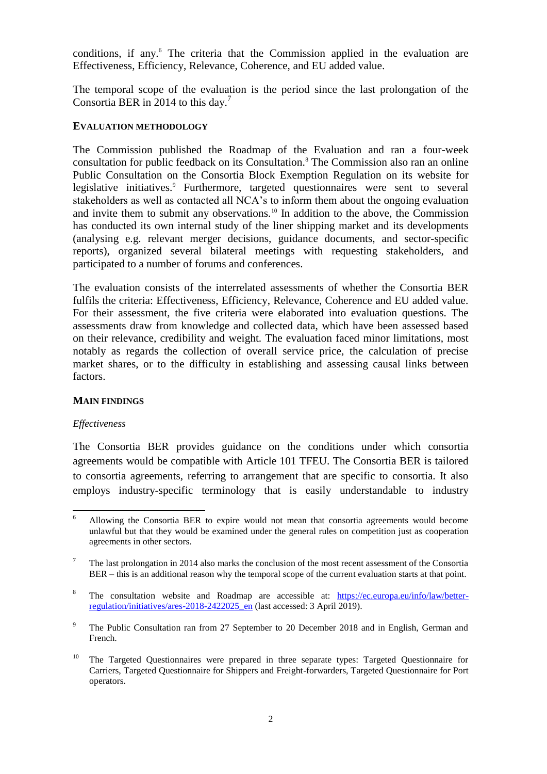conditions, if any.<sup>6</sup> The criteria that the Commission applied in the evaluation are Effectiveness, Efficiency, Relevance, Coherence, and EU added value.

The temporal scope of the evaluation is the period since the last prolongation of the Consortia BER in 2014 to this day.<sup>7</sup>

#### **EVALUATION METHODOLOGY**

The Commission published the Roadmap of the Evaluation and ran a four-week consultation for public feedback on its Consultation.<sup>8</sup> The Commission also ran an online Public Consultation on the Consortia Block Exemption Regulation on its website for legislative initiatives.<sup>9</sup> Furthermore, targeted questionnaires were sent to several stakeholders as well as contacted all NCA's to inform them about the ongoing evaluation and invite them to submit any observations.<sup>10</sup> In addition to the above, the Commission has conducted its own internal study of the liner shipping market and its developments (analysing e.g. relevant merger decisions, guidance documents, and sector-specific reports), organized several bilateral meetings with requesting stakeholders, and participated to a number of forums and conferences.

The evaluation consists of the interrelated assessments of whether the Consortia BER fulfils the criteria: Effectiveness, Efficiency, Relevance, Coherence and EU added value. For their assessment, the five criteria were elaborated into evaluation questions. The assessments draw from knowledge and collected data, which have been assessed based on their relevance, credibility and weight. The evaluation faced minor limitations, most notably as regards the collection of overall service price, the calculation of precise market shares, or to the difficulty in establishing and assessing causal links between factors.

### **MAIN FINDINGS**

#### *Effectiveness*

The Consortia BER provides guidance on the conditions under which consortia agreements would be compatible with Article 101 TFEU. The Consortia BER is tailored to consortia agreements, referring to arrangement that are specific to consortia. It also employs industry-specific terminology that is easily understandable to industry

<sup>6</sup> <sup>6</sup> Allowing the Consortia BER to expire would not mean that consortia agreements would become unlawful but that they would be examined under the general rules on competition just as cooperation agreements in other sectors.

<sup>&</sup>lt;sup>7</sup> The last prolongation in 2014 also marks the conclusion of the most recent assessment of the Consortia BER – this is an additional reason why the temporal scope of the current evaluation starts at that point.

<sup>8</sup> The consultation website and Roadmap are accessible at: [https://ec.europa.eu/info/law/better](https://ec.europa.eu/info/law/better-regulation/initiatives/ares-2018-2422025_en)regulation/initiatives/ares-2018-2422025 en (last accessed: 3 April 2019).

<sup>9</sup> The Public Consultation ran from 27 September to 20 December 2018 and in English, German and French.

 $10$  The Targeted Questionnaires were prepared in three separate types: Targeted Questionnaire for Carriers, Targeted Questionnaire for Shippers and Freight-forwarders, Targeted Questionnaire for Port operators.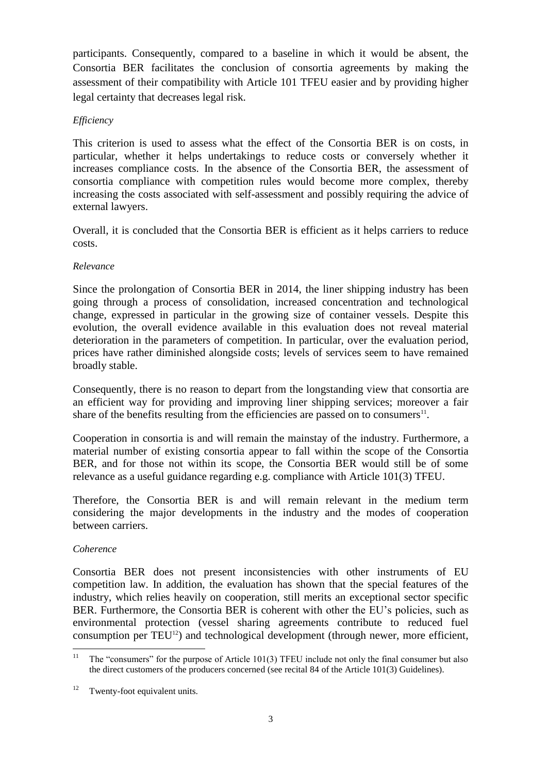participants. Consequently, compared to a baseline in which it would be absent, the Consortia BER facilitates the conclusion of consortia agreements by making the assessment of their compatibility with Article 101 TFEU easier and by providing higher legal certainty that decreases legal risk.

## *Efficiency*

This criterion is used to assess what the effect of the Consortia BER is on costs, in particular, whether it helps undertakings to reduce costs or conversely whether it increases compliance costs. In the absence of the Consortia BER, the assessment of consortia compliance with competition rules would become more complex, thereby increasing the costs associated with self-assessment and possibly requiring the advice of external lawyers.

Overall, it is concluded that the Consortia BER is efficient as it helps carriers to reduce costs.

## *Relevance*

Since the prolongation of Consortia BER in 2014, the liner shipping industry has been going through a process of consolidation, increased concentration and technological change, expressed in particular in the growing size of container vessels. Despite this evolution, the overall evidence available in this evaluation does not reveal material deterioration in the parameters of competition. In particular, over the evaluation period, prices have rather diminished alongside costs; levels of services seem to have remained broadly stable.

Consequently, there is no reason to depart from the longstanding view that consortia are an efficient way for providing and improving liner shipping services; moreover a fair share of the benefits resulting from the efficiencies are passed on to consumers $^{11}$ .

Cooperation in consortia is and will remain the mainstay of the industry. Furthermore, a material number of existing consortia appear to fall within the scope of the Consortia BER, and for those not within its scope, the Consortia BER would still be of some relevance as a useful guidance regarding e.g. compliance with Article 101(3) TFEU.

Therefore, the Consortia BER is and will remain relevant in the medium term considering the major developments in the industry and the modes of cooperation between carriers.

## *Coherence*

Consortia BER does not present inconsistencies with other instruments of EU competition law. In addition, the evaluation has shown that the special features of the industry, which relies heavily on cooperation, still merits an exceptional sector specific BER. Furthermore, the Consortia BER is coherent with other the EU's policies, such as environmental protection (vessel sharing agreements contribute to reduced fuel consumption per TEU<sup>12</sup>) and technological development (through newer, more efficient,

 $11 -$ <sup>11</sup> The "consumers" for the purpose of Article 101(3) TFEU include not only the final consumer but also the direct customers of the producers concerned (see recital 84 of the Article 101(3) Guidelines).

<sup>&</sup>lt;sup>12</sup> Twenty-foot equivalent units.